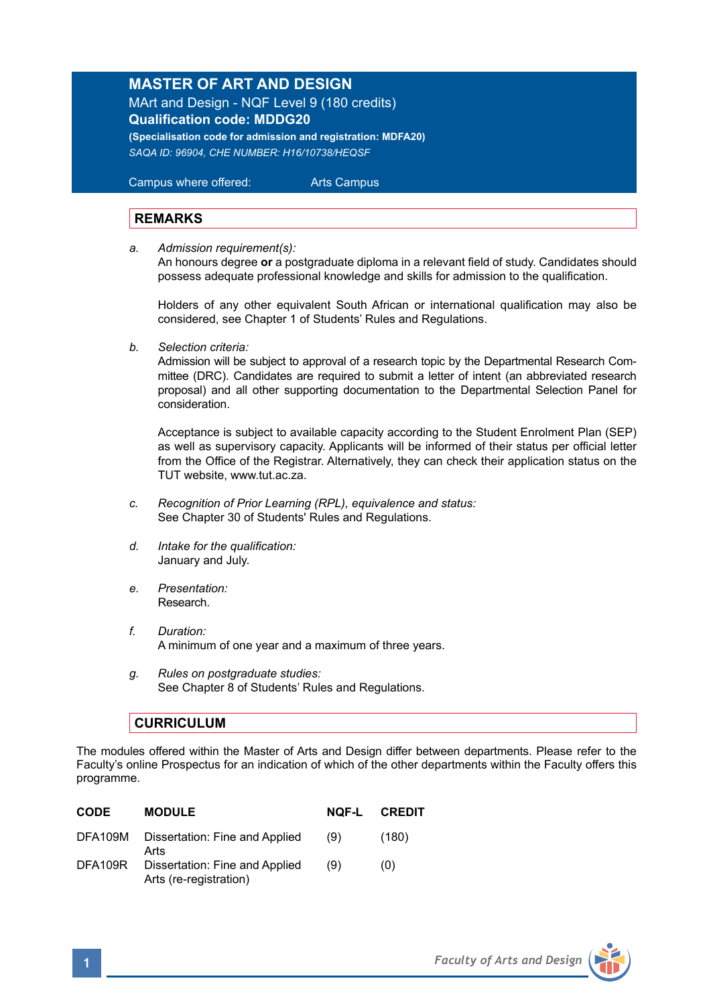## **MASTER OF ART AND DESIGN**

MArt and Design - NQF Level 9 (180 credits) **Qualification code: MDDG20 (Specialisation code for admission and registration: MDFA20)**

*SAQA ID: 96904, CHE NUMBER: H16/10738/HEQSF* 

 Campus where offered: Arts Campus

## **REMARKS**

*a. Admission requirement(s):*

An honours degree **or** a postgraduate diploma in a relevant field of study. Candidates should possess adequate professional knowledge and skills for admission to the qualification.

Holders of any other equivalent South African or international qualification may also be considered, see Chapter 1 of Students' Rules and Regulations.

*b. Selection criteria:*

Admission will be subject to approval of a research topic by the Departmental Research Committee (DRC). Candidates are required to submit a letter of intent (an abbreviated research proposal) and all other supporting documentation to the Departmental Selection Panel for consideration.

Acceptance is subject to available capacity according to the Student Enrolment Plan (SEP) as well as supervisory capacity. Applicants will be informed of their status per official letter from the Office of the Registrar. Alternatively, they can check their application status on the TUT website, www.tut.ac.za.

- *c. Recognition of Prior Learning (RPL), equivalence and status:* See Chapter 30 of Students' Rules and Regulations.
- *d. Intake for the qualification:* January and July.
- *e. Presentation:*  Research.
- *f. Duration:* A minimum of one year and a maximum of three years.
- *g. Rules on postgraduate studies:* See Chapter 8 of Students' Rules and Regulations.

## **CURRICULUM**

The modules offered within the Master of Arts and Design differ between departments. Please refer to the Faculty's online Prospectus for an indication of which of the other departments within the Faculty offers this programme.

| <b>CODE</b> | <b>MODULE</b>                                            | NOF-L | <b>CREDIT</b> |
|-------------|----------------------------------------------------------|-------|---------------|
| DFA109M     | Dissertation: Fine and Applied<br>Arts                   | (9)   | (180)         |
| DFA109R     | Dissertation: Fine and Applied<br>Arts (re-registration) | (9)   | (0)           |